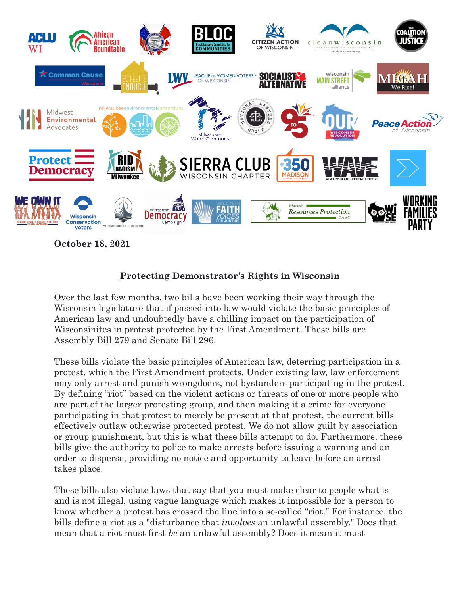

## **Protecting Demonstrator's Rights in Wisconsin**

Over the last few months, two bills have been working their way through the Wisconsin legislature that if passed into law would violate the basic principles of American law and undoubtedly have a chilling impact on the participation of Wisconsinites in protest protected by the First Amendment. These bills are Assembly Bill 279 and Senate Bill 296.

These bills violate the basic principles of American law, deterring participation in a protest, which the First Amendment protects. Under existing law, law enforcement may only arrest and punish wrongdoers, not bystanders participating in the protest. By defining "riot" based on the violent actions or threats of one or more people who are part of the larger protesting group, and then making it a crime for everyone participating in that protest to merely be present at that protest, the current bills effectively outlaw otherwise protected protest. We do not allow guilt by association or group punishment, but this is what these bills attempt to do. Furthermore, these bills give the authority to police to make arrests before issuing a warning and an order to disperse, providing no notice and opportunity to leave before an arrest takes place.

These bills also violate laws that say that you must make clear to people what is and is not illegal, using vague language which makes it impossible for a person to know whether a protest has crossed the line into a so-called "riot." For instance, the bills define a riot as a "disturbance that *involves* an unlawful assembly." Does that mean that a riot must first *be* an unlawful assembly? Does it mean it must